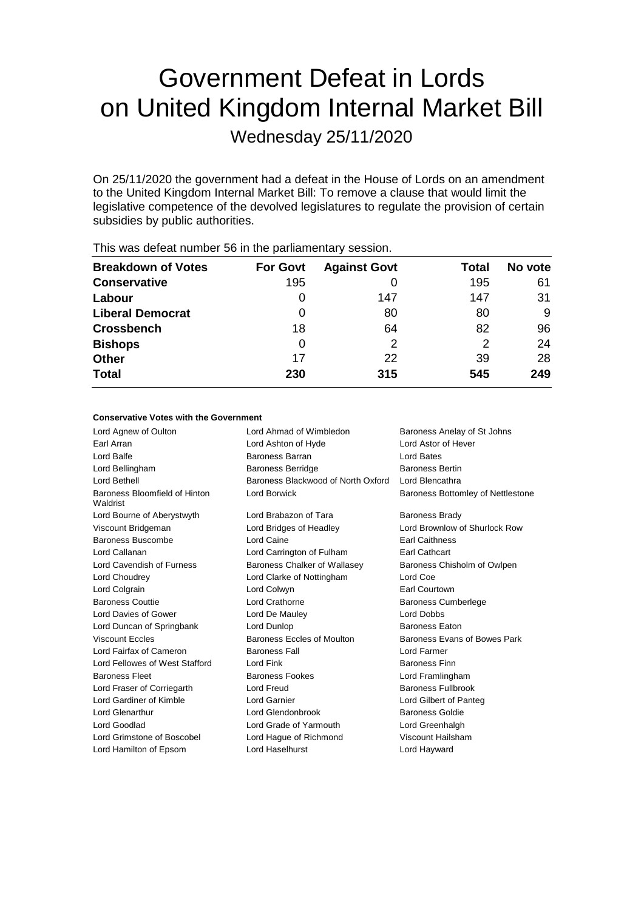# Government Defeat in Lords on United Kingdom Internal Market Bill

Wednesday 25/11/2020

On 25/11/2020 the government had a defeat in the House of Lords on an amendment to the United Kingdom Internal Market Bill: To remove a clause that would limit the legislative competence of the devolved legislatures to regulate the provision of certain subsidies by public authorities.

| <b>Breakdown of Votes</b> | <b>For Govt</b> | <b>Against Govt</b> | Total | No vote |
|---------------------------|-----------------|---------------------|-------|---------|
| <b>Conservative</b>       | 195             |                     | 195   | 61      |
| Labour                    | 0               | 147                 | 147   | 31      |
| <b>Liberal Democrat</b>   | 0               | 80                  | 80    | 9       |
| <b>Crossbench</b>         | 18              | 64                  | 82    | 96      |
| <b>Bishops</b>            | 0               | 2                   | 2     | 24      |
| <b>Other</b>              | 17              | 22                  | 39    | 28      |
| <b>Total</b>              | 230             | 315                 | 545   | 249     |
|                           |                 |                     |       |         |

This was defeat number 56 in the parliamentary session.

# **Conservative Votes with the Government**

| Lord Agnew of Oulton                      | Lord Ahmad of Wimbledon            | Baroness Anelay of St Johns       |
|-------------------------------------------|------------------------------------|-----------------------------------|
| Earl Arran                                | Lord Ashton of Hyde                | Lord Astor of Hever               |
| Lord Balfe                                | Baroness Barran                    | Lord Bates                        |
| Lord Bellingham                           | <b>Baroness Berridge</b>           | <b>Baroness Bertin</b>            |
| Lord Bethell                              | Baroness Blackwood of North Oxford | Lord Blencathra                   |
| Baroness Bloomfield of Hinton<br>Waldrist | Lord Borwick                       | Baroness Bottomley of Nettlestone |
| Lord Bourne of Aberystwyth                | Lord Brabazon of Tara              | <b>Baroness Brady</b>             |
| Viscount Bridgeman                        | Lord Bridges of Headley            | Lord Brownlow of Shurlock Row     |
| Baroness Buscombe                         | Lord Caine                         | <b>Earl Caithness</b>             |
| Lord Callanan                             | Lord Carrington of Fulham          | <b>Earl Cathcart</b>              |
| Lord Cavendish of Furness                 | Baroness Chalker of Wallasey       | Baroness Chisholm of Owlpen       |
| Lord Choudrey                             | Lord Clarke of Nottingham          | Lord Coe                          |
| Lord Colgrain                             | Lord Colwyn                        | Earl Courtown                     |
| <b>Baroness Couttie</b>                   | Lord Crathorne                     | <b>Baroness Cumberlege</b>        |
| Lord Davies of Gower                      | Lord De Mauley                     | <b>Lord Dobbs</b>                 |
| Lord Duncan of Springbank                 | Lord Dunlop                        | <b>Baroness Eaton</b>             |
| <b>Viscount Eccles</b>                    | Baroness Eccles of Moulton         | Baroness Evans of Bowes Park      |
| Lord Fairfax of Cameron                   | <b>Baroness Fall</b>               | Lord Farmer                       |
| Lord Fellowes of West Stafford            | Lord Fink                          | <b>Baroness Finn</b>              |
| <b>Baroness Fleet</b>                     | <b>Baroness Fookes</b>             | Lord Framlingham                  |
| Lord Fraser of Corriegarth                | Lord Freud                         | Baroness Fullbrook                |
| Lord Gardiner of Kimble                   | Lord Garnier                       | Lord Gilbert of Panteg            |
| Lord Glenarthur                           | Lord Glendonbrook                  | <b>Baroness Goldie</b>            |
| Lord Goodlad                              | Lord Grade of Yarmouth             | Lord Greenhalgh                   |
| Lord Grimstone of Boscobel                | Lord Haque of Richmond             | Viscount Hailsham                 |
| Lord Hamilton of Epsom                    | Lord Haselhurst                    | Lord Hayward                      |
|                                           |                                    |                                   |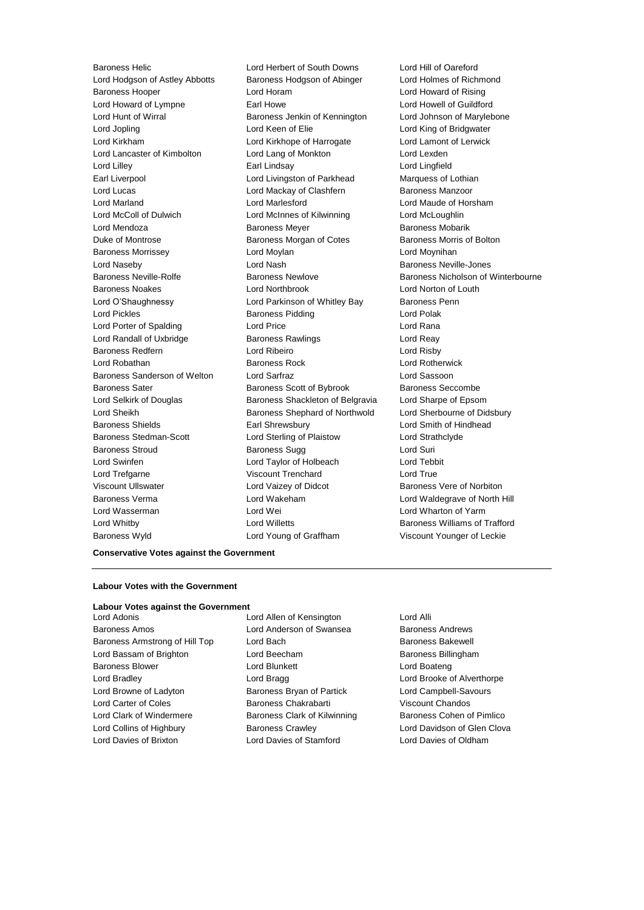Lord Hodgson of Astley Abbotts Baroness Hodgson of Abinger Lord Holmes of Richmond Baroness Hooper Lord Horam Lord Howard of Rising Lord Howard of Lympne **Earl Howe** Earl Howe Lord Howell of Guildford Lord Hunt of Wirral **Baroness Jenkin of Kennington** Lord Johnson of Marylebone Lord Jopling Lord Keen of Elie Lord King of Bridgwater Lord Kirkham Lord Kirkhope of Harrogate Lord Lamont of Lerwick Lord Lancaster of Kimbolton Lord Lang of Monkton Lord Lexden Lord Lilley Earl Lindsay Lord Lingfield Earl Liverpool **Lord Livingston of Parkhead** Marquess of Lothian Lord Lucas Lord Mackay of Clashfern Baroness Manzoor Lord Marland Lord Marlesford Lord Maude of Horsham Lord McColl of Dulwich Lord McInnes of Kilwinning Lord McLoughlin Lord Mendoza **Baroness Meyer** Baroness Meyer Baroness Mobarik Duke of Montrose **Baroness Morgan of Cotes** Baroness Morris of Bolton Baroness Morrissey Lord Moylan Lord Moynihan Lord Naseby Lord Nash Baroness Neville-Jones Baroness Neville-Rolfe **Baroness Newlove** Baroness Newlove Baroness Nicholson of Winterbourne Baroness Noakes Lord Northbrook Lord Norton of Louth Lord O'Shaughnessy **Lord Parkinson of Whitley Bay** Baroness Penn Lord Pickles **Baroness Pidding** Lord Polak Lord Porter of Spalding Lord Price Lord Rana Lord Randall of Uxbridge Baroness Rawlings Lord Reay Baroness Redfern Lord Ribeiro Lord Risby Lord Robathan Baroness Rock Lord Rotherwick Baroness Sanderson of Welton Lord Sarfraz Lord Sassoon Baroness Sater Baroness Scott of Bybrook Baroness Seccombe Lord Selkirk of Douglas Baroness Shackleton of Belgravia Lord Sharpe of Epsom Lord Sheikh **Baroness Shephard of Northwold** Lord Sherbourne of Didsbury Baroness Shields Earl Shrewsbury Lord Smith of Hindhead Baroness Stedman-Scott Lord Sterling of Plaistow Lord Strathclyde Baroness Stroud Baroness Sugg Lord Suri Lord Swinfen Lord Taylor of Holbeach Lord Tebbit Lord Trefgarne Viscount Trenchard Lord True Viscount Ullswater **Lord Vaizey of Didcot** Baroness Vere of Norbiton Baroness Verma Lord Wakeham Lord Waldegrave of North Hill Lord Wasserman Lord Wei Lord Wharton of Yarm Lord Whitby **Lord Willetts Baroness Williams of Trafford Lord Willetts Baroness Williams of Trafford** Baroness Wyld Lord Young of Graffham Viscount Younger of Leckie

Baroness Helic Lord Herbert of South Downs Lord Hill of Oareford

## **Conservative Votes against the Government**

# **Labour Votes with the Government**

### **Labour Votes against the Government**

Baroness Amos Lord Anderson of Swansea Baroness Andrews Baroness Armstrong of Hill Top Lord Bach Baroness Bakewell Lord Bassam of Brighton **Lord Beecham** Baroness Billingham Baroness Blower **Lord Blunkett** Lord Boateng Lord Boateng Lord Bradley **Lord Bragg Lord Bragg Lord Brooke of Alverthorpe** Lord Browne of Ladyton Baroness Bryan of Partick Lord Campbell-Savours Lord Carter of Coles Baroness Chakrabarti Viscount Chandos Lord Clark of Windermere **Baroness Clark of Kilwinning** Baroness Cohen of Pimlico Lord Collins of Highbury Baroness Crawley Lord Davidson of Glen Clova

Lord Adonis Lord Allen of Kensington Lord Alli Lord Davies of Brixton Lord Davies of Stamford Lord Davies of Oldham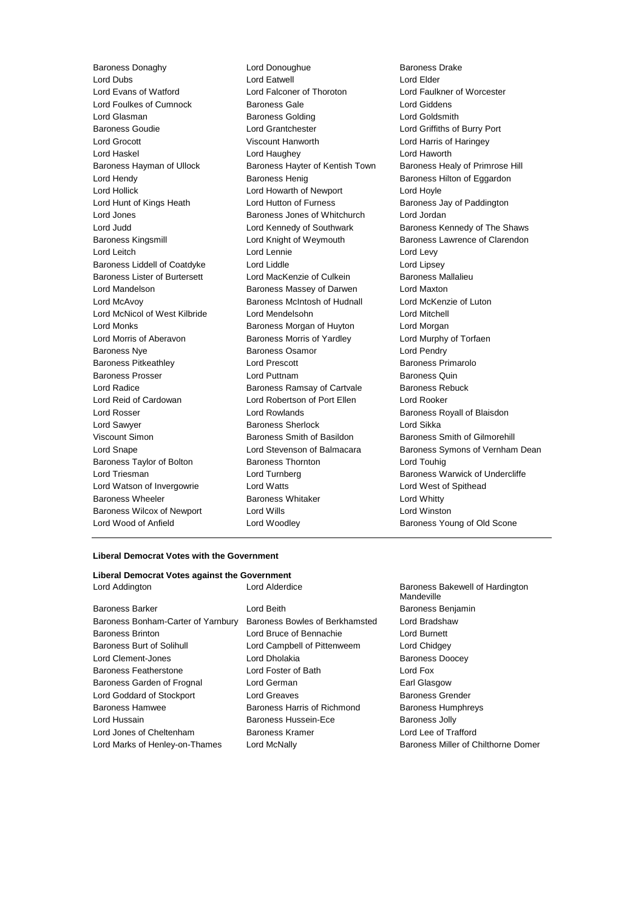Lord Dubs Lord Eatwell Lord Elder Lord Evans of Watford Lord Falconer of Thoroton Lord Faulkner of Worcester Lord Foulkes of Cumnock Baroness Gale Lord Giddens Lord Glasman Baroness Golding Lord Goldsmith Baroness Goudie Lord Grantchester Lord Griffiths of Burry Port Lord Grocott Viscount Hanworth Lord Harris of Haringey Lord Haskel Lord Haughey Lord Haworth Baroness Hayman of Ullock Baroness Hayter of Kentish Town Baroness Healy of Primrose Hill Lord Hendy **Baroness Henig** Baroness Henig Baroness Hilton of Eggardon Lord Hollick Lord Howarth of Newport Lord Hoyle Lord Hunt of Kings Heath Lord Hutton of Furness Baroness Jay of Paddington Lord Jones Baroness Jones of Whitchurch Lord Jordan Lord Judd **Lord Kennedy of Southwark** Baroness Kennedy of The Shaws Baroness Kingsmill Lord Knight of Weymouth Baroness Lawrence of Clarendon Lord Leitch Lord Lennie Lord Levy Baroness Liddell of Coatdyke Lord Liddle Lord Lipsey Baroness Lister of Burtersett Lord MacKenzie of Culkein Baroness Mallalieu Lord Mandelson Baroness Massey of Darwen Lord Maxton Lord McAvoy **Baroness McIntosh of Hudnall** Lord McKenzie of Luton Lord McNicol of West Kilbride Lord Mendelsohn Lord Mitchell Lord Monks Baroness Morgan of Huyton Lord Morgan Lord Morris of Aberavon **Baroness Morris of Yardley** Lord Murphy of Torfaen Baroness Nye **Baroness Osamor Baroness Osamor Lord Pendry** Baroness Pitkeathley Lord Prescott Baroness Primarolo Baroness Prosser **Lord Puttnam Baroness Quin** Lord Radice **Baroness Ramsay of Cartvale** Baroness Rebuck Lord Reid of Cardowan Lord Robertson of Port Ellen Lord Rooker Lord Rosser Lord Rowlands Baroness Royall of Blaisdon Lord Sawyer **Baroness Sherlock** Lord Sikka Viscount Simon **Baroness Smith of Basildon** Baroness Smith of Gilmorehill Baroness Taylor of Bolton Baroness Thornton Baroness Thornton Lord Triesman **Lord Turnberg** Baroness Warwick of Undercliffe Lord Watson of Invergowrie Lord Watts Lord West of Spithead Baroness Wheeler **Baroness Whitaker** Lord Whitty Baroness Wilcox of Newport Lord Wills Lord Winston Lord Wood of Anfield **Lord Woodley Lord Woodley Baroness Young of Old Scone** 

Baroness Donaghy **Baroness Drake** Lord Donoughue **Baroness Drake** Baroness Drake

Lord Snape Lord Stevenson of Balmacara Baroness Symons of Vernham Dean

# **Liberal Democrat Votes with the Government**

# **Liberal Democrat Votes against the Government**

| Baroness Barker                    |
|------------------------------------|
| Baroness Bonham-Carter of Yarnbury |
| Baroness Brinton                   |
| Baroness Burt of Solihull          |
| Lord Clement-Jones                 |
| Baroness Featherstone              |
| Baroness Garden of Frognal         |
| Lord Goddard of Stockport          |
| Baroness Hamwee                    |
| Lord Hussain                       |
| Lord Jones of Cheltenham           |
| Lord Marks of Henley-on-Thames     |

Lord Beith **Baroness Benjamin** Baroness Bowles of Berkhamsted Lord Bradshaw Lord Bruce of Bennachie Lord Burnett Lord Campbell of Pittenweem Lord Chidgey Lord Dholakia **Baroness Doocey** Lord Foster of Bath Lord Fox Lord German **Earl Glasgow** Lord Greaves **Baroness Grender** Baroness Harris of Richmond Baroness Humphreys Baroness Hussein-Ece Baroness Jolly Lord Jones of Cheltenham Baroness Kramer Lord Lee of Trafford

Lord Addington Lord Alderdice Baroness Bakewell of Hardington Mandeville Lord McNally **Arks of Henley-On-Thames Chilthorne Domer** Baroness Miller of Chilthorne Domer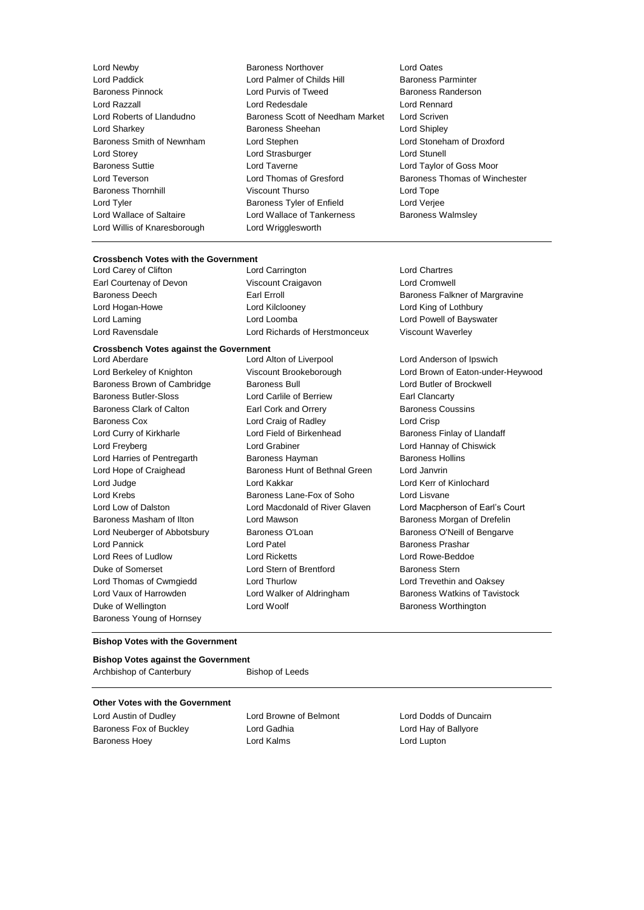- Lord Paddick **Lord Palmer of Childs Hill** Lord Willis of Knaresborough Lord Wrigglesworth
- Lord Newby Baroness Northover Lord Oates Baroness Pinnock Lord Purvis of Tweed Baroness Randerson Lord Razzall Lord Redesdale Lord Rennard Lord Roberts of Llandudno Baroness Scott of Needham Market Lord Scriven Lord Sharkey Baroness Sheehan Lord Shipley Baroness Smith of Newnham Lord Stephen Lord Stoneham of Droxford Lord Storey **Lord Strasburger** Lord Strasburger **Lord Stunell** Baroness Suttie Lord Taverne Lord Taylor of Goss Moor Lord Teverson **Lord Thomas of Gresford** Baroness Thomas of Winchester Baroness Thornhill Viscount Thurso Lord Tope Lord Tyler Baroness Tyler of Enfield Lord Verjee Lord Wallace of Saltaire **Lord Wallace of Tankerness** Baroness Walmsley
	-

# **Crossbench Votes with the Government**<br>Lord Carev of Clifton **Lord Carrington**

Lord Carey of Clifton Lord Carrington Lord Chartres Earl Courtenay of Devon Viscount Craigavon Lord Cromwell Baroness Deech **Earl Erroll** Earl Erroll Baroness Falkner of Margravine Lord Hogan-Howe Lord Kilclooney Lord King of Lothbury Lord Laming Lord Loomba Lord Powell of Bayswater Lord Ravensdale Lord Richards of Herstmonceux Viscount Waverley

# **Crossbench Votes against the Government**

Baroness Brown of Cambridge Baroness Bull Baroness Bull Lord Butler of Brockwell Baroness Butler-Sloss Lord Carlile of Berriew Earl Clancarty Baroness Clark of Calton **Earl Cork and Orrery Baroness Coussins Baroness Coussins** Baroness Cox **Lord Craig of Radley** Lord Crisp Lord Curry of Kirkharle Lord Field of Birkenhead Baroness Finlay of Llandaff Lord Freyberg Lord Grabiner Lord Hannay of Chiswick Lord Harries of Pentregarth Baroness Hayman Baroness Hollins Lord Hope of Craighead Baroness Hunt of Bethnal Green Lord Janvrin Lord Judge Lord Kakkar Lord Kerr of Kinlochard Lord Krebs Baroness Lane-Fox of Soho Lord Lisvane Baroness Masham of Ilton Lord Mawson Baroness Morgan of Drefelin Lord Neuberger of Abbotsbury Baroness O'Loan Baroness O'Neill of Bengarve Lord Pannick Lord Patel Baroness Prashar Lord Rees of Ludlow Lord Ricketts Lord Rowe-Beddoe Duke of Somerset Lord Stern of Brentford Baroness Stern Lord Thomas of Cwmgiedd Lord Thurlow Lord Trevethin and Oaksey Lord Vaux of Harrowden **Lord Walker of Aldringham** Baroness Watkins of Tavistock Duke of Wellington **Baroness Worthington** Lord Woolf **Baroness Worthington** Baroness Young of Hornsey

Lord Aberdare Lord Alton of Liverpool Lord Anderson of Ipswich Lord Berkeley of Knighton Viscount Brookeborough Lord Brown of Eaton-under-Heywood Lord Low of Dalston Lord Macdonald of River Glaven Lord Macpherson of Earl's Court

# **Bishop Votes with the Government**

# **Bishop Votes against the Government** Archbishop of Canterbury Bishop of Leeds

# **Other Votes with the Government**

Baroness Fox of Buckley Lord Gadhia Lord Hay of Ballyore Baroness Hoey Lord Kalms Lord Lupton

Lord Austin of Dudley Lord Browne of Belmont Lord Dodds of Duncairn